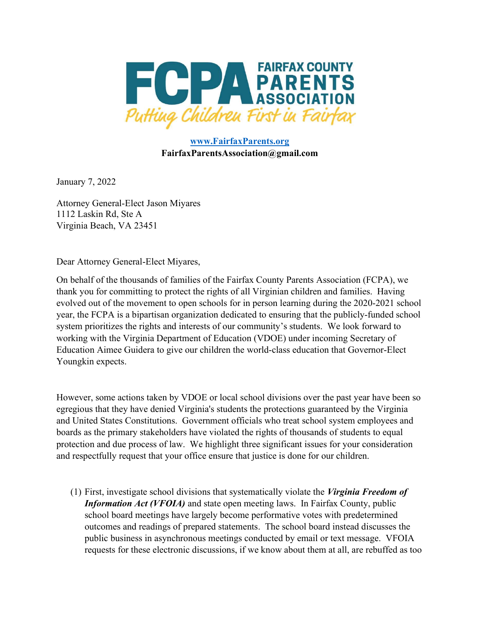

## www.FairfaxParents.org FairfaxParentsAssociation@gmail.com

January 7, 2022

Attorney General-Elect Jason Miyares 1112 Laskin Rd, Ste A Virginia Beach, VA 23451

Dear Attorney General-Elect Miyares,

On behalf of the thousands of families of the Fairfax County Parents Association (FCPA), we thank you for committing to protect the rights of all Virginian children and families. Having evolved out of the movement to open schools for in person learning during the 2020-2021 school year, the FCPA is a bipartisan organization dedicated to ensuring that the publicly-funded school system prioritizes the rights and interests of our community's students. We look forward to working with the Virginia Department of Education (VDOE) under incoming Secretary of Education Aimee Guidera to give our children the world-class education that Governor-Elect Youngkin expects.

However, some actions taken by VDOE or local school divisions over the past year have been so egregious that they have denied Virginia's students the protections guaranteed by the Virginia and United States Constitutions. Government officials who treat school system employees and boards as the primary stakeholders have violated the rights of thousands of students to equal protection and due process of law. We highlight three significant issues for your consideration and respectfully request that your office ensure that justice is done for our children.

(1) First, investigate school divisions that systematically violate the *Virginia Freedom of* Information Act (VFOIA) and state open meeting laws. In Fairfax County, public school board meetings have largely become performative votes with predetermined outcomes and readings of prepared statements. The school board instead discusses the public business in asynchronous meetings conducted by email or text message. VFOIA requests for these electronic discussions, if we know about them at all, are rebuffed as too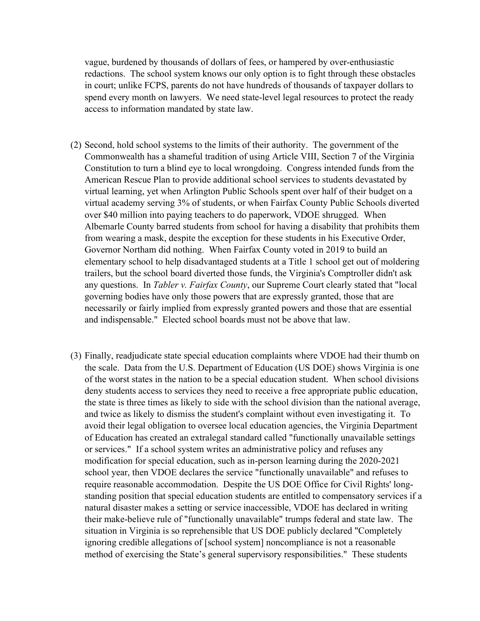vague, burdened by thousands of dollars of fees, or hampered by over-enthusiastic redactions. The school system knows our only option is to fight through these obstacles in court; unlike FCPS, parents do not have hundreds of thousands of taxpayer dollars to spend every month on lawyers. We need state-level legal resources to protect the ready access to information mandated by state law.

- (2) Second, hold school systems to the limits of their authority. The government of the Commonwealth has a shameful tradition of using Article VIII, Section 7 of the Virginia Constitution to turn a blind eye to local wrongdoing. Congress intended funds from the American Rescue Plan to provide additional school services to students devastated by virtual learning, yet when Arlington Public Schools spent over half of their budget on a virtual academy serving 3% of students, or when Fairfax County Public Schools diverted over \$40 million into paying teachers to do paperwork, VDOE shrugged. When Albemarle County barred students from school for having a disability that prohibits them from wearing a mask, despite the exception for these students in his Executive Order, Governor Northam did nothing. When Fairfax County voted in 2019 to build an elementary school to help disadvantaged students at a Title 1 school get out of moldering trailers, but the school board diverted those funds, the Virginia's Comptroller didn't ask any questions. In Tabler v. Fairfax County, our Supreme Court clearly stated that "local governing bodies have only those powers that are expressly granted, those that are necessarily or fairly implied from expressly granted powers and those that are essential and indispensable." Elected school boards must not be above that law.
- (3) Finally, readjudicate state special education complaints where VDOE had their thumb on the scale. Data from the U.S. Department of Education (US DOE) shows Virginia is one of the worst states in the nation to be a special education student. When school divisions deny students access to services they need to receive a free appropriate public education, the state is three times as likely to side with the school division than the national average, and twice as likely to dismiss the student's complaint without even investigating it. To avoid their legal obligation to oversee local education agencies, the Virginia Department of Education has created an extralegal standard called "functionally unavailable settings or services." If a school system writes an administrative policy and refuses any modification for special education, such as in-person learning during the 2020-2021 school year, then VDOE declares the service "functionally unavailable" and refuses to require reasonable accommodation. Despite the US DOE Office for Civil Rights' longstanding position that special education students are entitled to compensatory services if a natural disaster makes a setting or service inaccessible, VDOE has declared in writing their make-believe rule of "functionally unavailable" trumps federal and state law. The situation in Virginia is so reprehensible that US DOE publicly declared "Completely ignoring credible allegations of [school system] noncompliance is not a reasonable method of exercising the State's general supervisory responsibilities." These students